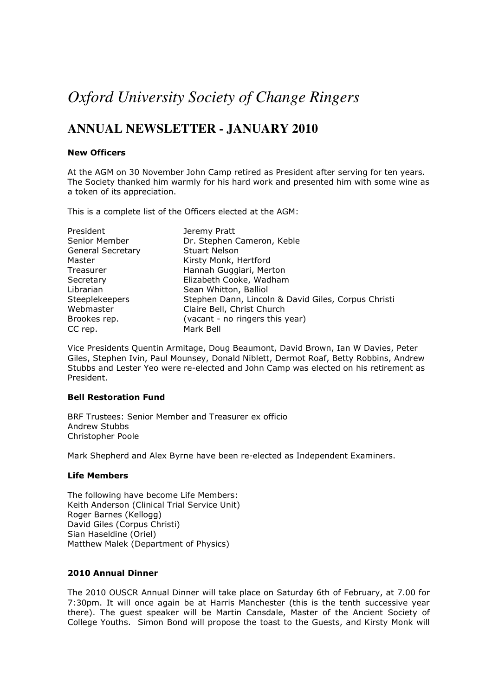# *Oxford University Society of Change Ringers*

# **ANNUAL NEWSLETTER - JANUARY 2010**

# New Officers

At the AGM on 30 November John Camp retired as President after serving for ten years. The Society thanked him warmly for his hard work and presented him with some wine as a token of its appreciation.

This is a complete list of the Officers elected at the AGM:

| President                | Jeremy Pratt                                        |
|--------------------------|-----------------------------------------------------|
| Senior Member            | Dr. Stephen Cameron, Keble                          |
| <b>General Secretary</b> | <b>Stuart Nelson</b>                                |
| Master                   | Kirsty Monk, Hertford                               |
| Treasurer                | Hannah Guggiari, Merton                             |
| Secretary                | Elizabeth Cooke, Wadham                             |
| Librarian                | Sean Whitton, Balliol                               |
| <b>Steeplekeepers</b>    | Stephen Dann, Lincoln & David Giles, Corpus Christi |
| Webmaster                | Claire Bell, Christ Church                          |
| Brookes rep.             | (vacant - no ringers this year)                     |
| CC rep.                  | Mark Bell                                           |

Vice Presidents Quentin Armitage, Doug Beaumont, David Brown, Ian W Davies, Peter Giles, Stephen Ivin, Paul Mounsey, Donald Niblett, Dermot Roaf, Betty Robbins, Andrew Stubbs and Lester Yeo were re-elected and John Camp was elected on his retirement as President.

# Bell Restoration Fund

BRF Trustees: Senior Member and Treasurer ex officio Andrew Stubbs Christopher Poole

Mark Shepherd and Alex Byrne have been re-elected as Independent Examiners.

# Life Members

The following have become Life Members: Keith Anderson (Clinical Trial Service Unit) Roger Barnes (Kellogg) David Giles (Corpus Christi) Sian Haseldine (Oriel) Matthew Malek (Department of Physics)

# 2010 Annual Dinner

The 2010 OUSCR Annual Dinner will take place on Saturday 6th of February, at 7.00 for 7:30pm. It will once again be at Harris Manchester (this is the tenth successive year there). The guest speaker will be Martin Cansdale, Master of the Ancient Society of College Youths. Simon Bond will propose the toast to the Guests, and Kirsty Monk will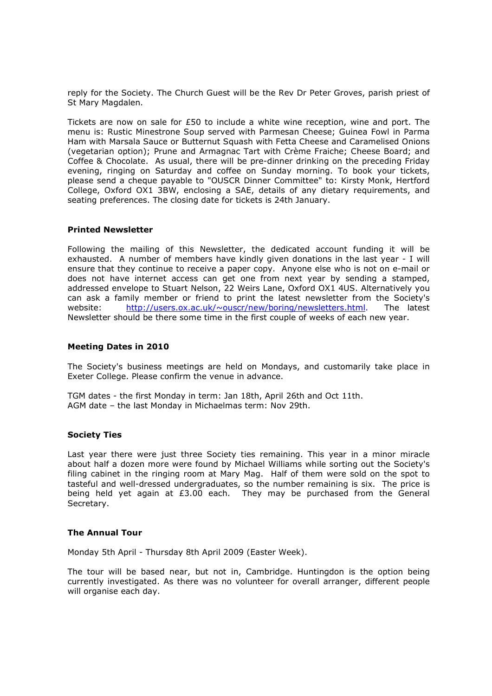reply for the Society. The Church Guest will be the Rev Dr Peter Groves, parish priest of St Mary Magdalen.

Tickets are now on sale for £50 to include a white wine reception, wine and port. The menu is: Rustic Minestrone Soup served with Parmesan Cheese; Guinea Fowl in Parma Ham with Marsala Sauce or Butternut Squash with Fetta Cheese and Caramelised Onions (vegetarian option); Prune and Armagnac Tart with Crème Fraiche; Cheese Board; and Coffee & Chocolate. As usual, there will be pre-dinner drinking on the preceding Friday evening, ringing on Saturday and coffee on Sunday morning. To book your tickets, please send a cheque payable to "OUSCR Dinner Committee" to: Kirsty Monk, Hertford College, Oxford OX1 3BW, enclosing a SAE, details of any dietary requirements, and seating preferences. The closing date for tickets is 24th January.

# Printed Newsletter

Following the mailing of this Newsletter, the dedicated account funding it will be exhausted. A number of members have kindly given donations in the last year - I will ensure that they continue to receive a paper copy. Anyone else who is not on e-mail or does not have internet access can get one from next year by sending a stamped, addressed envelope to Stuart Nelson, 22 Weirs Lane, Oxford OX1 4US. Alternatively you can ask a family member or friend to print the latest newsletter from the Society's website: http://users.ox.ac.uk/~ouscr/new/boring/newsletters.html. The latest Newsletter should be there some time in the first couple of weeks of each new year.

# Meeting Dates in 2010

The Society's business meetings are held on Mondays, and customarily take place in Exeter College. Please confirm the venue in advance.

TGM dates - the first Monday in term: Jan 18th, April 26th and Oct 11th. AGM date – the last Monday in Michaelmas term: Nov 29th.

# Society Ties

Last year there were just three Society ties remaining. This year in a minor miracle about half a dozen more were found by Michael Williams while sorting out the Society's filing cabinet in the ringing room at Mary Mag. Half of them were sold on the spot to tasteful and well-dressed undergraduates, so the number remaining is six. The price is being held yet again at  $E3.00$  each. They may be purchased from the General Secretary.

# The Annual Tour

Monday 5th April - Thursday 8th April 2009 (Easter Week).

The tour will be based near, but not in, Cambridge. Huntingdon is the option being currently investigated. As there was no volunteer for overall arranger, different people will organise each day.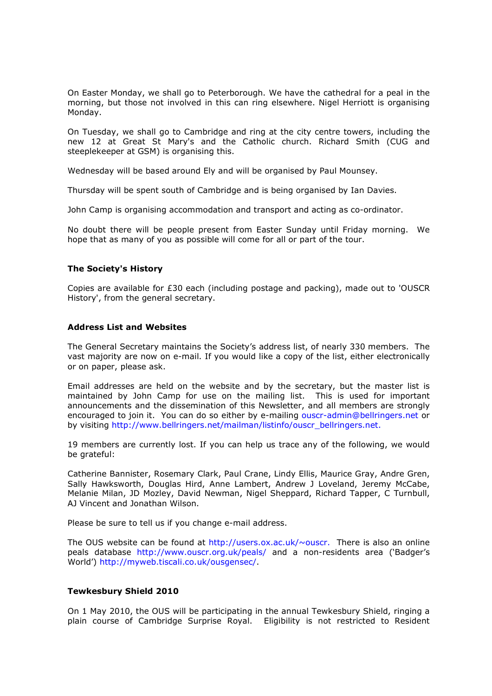On Easter Monday, we shall go to Peterborough. We have the cathedral for a peal in the morning, but those not involved in this can ring elsewhere. Nigel Herriott is organising Monday.

On Tuesday, we shall go to Cambridge and ring at the city centre towers, including the new 12 at Great St Mary's and the Catholic church. Richard Smith (CUG and steeplekeeper at GSM) is organising this.

Wednesday will be based around Ely and will be organised by Paul Mounsey.

Thursday will be spent south of Cambridge and is being organised by Ian Davies.

John Camp is organising accommodation and transport and acting as co-ordinator.

No doubt there will be people present from Easter Sunday until Friday morning. We hope that as many of you as possible will come for all or part of the tour.

# The Society's History

Copies are available for £30 each (including postage and packing), made out to 'OUSCR History', from the general secretary.

#### Address List and Websites

The General Secretary maintains the Society's address list, of nearly 330 members. The vast majority are now on e-mail. If you would like a copy of the list, either electronically or on paper, please ask.

Email addresses are held on the website and by the secretary, but the master list is maintained by John Camp for use on the mailing list. This is used for important announcements and the dissemination of this Newsletter, and all members are strongly encouraged to join it. You can do so either by e-mailing ouscr-admin@bellringers.net or by visiting http://www.bellringers.net/mailman/listinfo/ouscr\_bellringers.net.

19 members are currently lost. If you can help us trace any of the following, we would be grateful:

Catherine Bannister, Rosemary Clark, Paul Crane, Lindy Ellis, Maurice Gray, Andre Gren, Sally Hawksworth, Douglas Hird, Anne Lambert, Andrew J Loveland, Jeremy McCabe, Melanie Milan, JD Mozley, David Newman, Nigel Sheppard, Richard Tapper, C Turnbull, AJ Vincent and Jonathan Wilson.

Please be sure to tell us if you change e-mail address.

The OUS website can be found at http://users.ox.ac.uk/ $\sim$ ouscr. There is also an online peals database http://www.ouscr.org.uk/peals/ and a non-residents area ('Badger's World') http://myweb.tiscali.co.uk/ousgensec/.

# Tewkesbury Shield 2010

On 1 May 2010, the OUS will be participating in the annual Tewkesbury Shield, ringing a plain course of Cambridge Surprise Royal. Eligibility is not restricted to Resident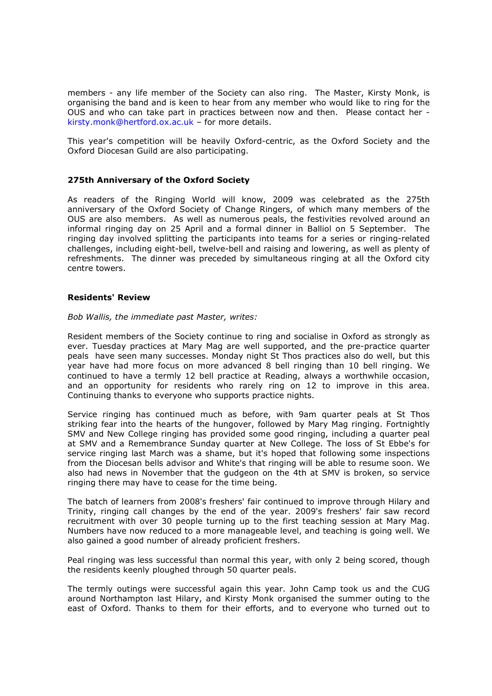members - any life member of the Society can also ring. The Master, Kirsty Monk, is organising the band and is keen to hear from any member who would like to ring for the OUS and who can take part in practices between now and then. Please contact her kirsty.monk@hertford.ox.ac.uk – for more details.

This year's competition will be heavily Oxford-centric, as the Oxford Society and the Oxford Diocesan Guild are also participating.

# 275th Anniversary of the Oxford Society

As readers of the Ringing World will know, 2009 was celebrated as the 275th anniversary of the Oxford Society of Change Ringers, of which many members of the OUS are also members. As well as numerous peals, the festivities revolved around an informal ringing day on 25 April and a formal dinner in Balliol on 5 September. The ringing day involved splitting the participants into teams for a series or ringing-related challenges, including eight-bell, twelve-bell and raising and lowering, as well as plenty of refreshments. The dinner was preceded by simultaneous ringing at all the Oxford city centre towers.

# Residents' Review

Bob Wallis, the immediate past Master, writes:

Resident members of the Society continue to ring and socialise in Oxford as strongly as ever. Tuesday practices at Mary Mag are well supported, and the pre-practice quarter peals have seen many successes. Monday night St Thos practices also do well, but this year have had more focus on more advanced 8 bell ringing than 10 bell ringing. We continued to have a termly 12 bell practice at Reading, always a worthwhile occasion, and an opportunity for residents who rarely ring on 12 to improve in this area. Continuing thanks to everyone who supports practice nights.

Service ringing has continued much as before, with 9am quarter peals at St Thos striking fear into the hearts of the hungover, followed by Mary Mag ringing. Fortnightly SMV and New College ringing has provided some good ringing, including a quarter peal at SMV and a Remembrance Sunday quarter at New College. The loss of St Ebbe's for service ringing last March was a shame, but it's hoped that following some inspections from the Diocesan bells advisor and White's that ringing will be able to resume soon. We also had news in November that the gudgeon on the 4th at SMV is broken, so service ringing there may have to cease for the time being.

The batch of learners from 2008's freshers' fair continued to improve through Hilary and Trinity, ringing call changes by the end of the year. 2009's freshers' fair saw record recruitment with over 30 people turning up to the first teaching session at Mary Mag. Numbers have now reduced to a more manageable level, and teaching is going well. We also gained a good number of already proficient freshers.

Peal ringing was less successful than normal this year, with only 2 being scored, though the residents keenly ploughed through 50 quarter peals.

The termly outings were successful again this year. John Camp took us and the CUG around Northampton last Hilary, and Kirsty Monk organised the summer outing to the east of Oxford. Thanks to them for their efforts, and to everyone who turned out to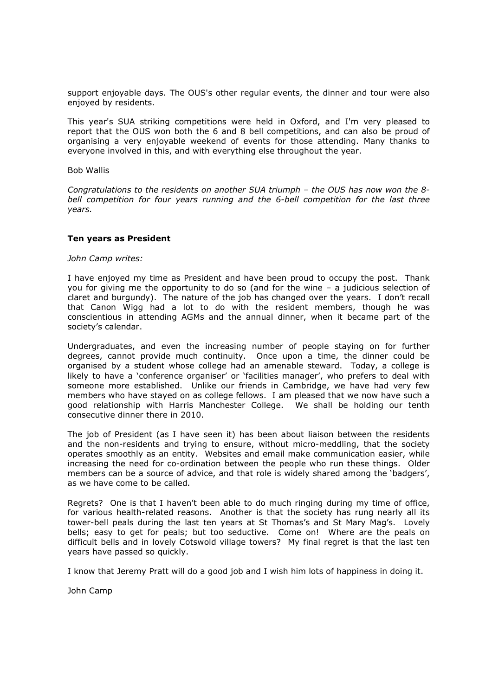support enjoyable days. The OUS's other regular events, the dinner and tour were also enjoyed by residents.

This year's SUA striking competitions were held in Oxford, and I'm very pleased to report that the OUS won both the 6 and 8 bell competitions, and can also be proud of organising a very enjoyable weekend of events for those attending. Many thanks to everyone involved in this, and with everything else throughout the year.

# Bob Wallis

Congratulations to the residents on another SUA triumph – the OUS has now won the 8 bell competition for four years running and the 6-bell competition for the last three years.

# Ten years as President

#### John Camp writes:

I have enjoyed my time as President and have been proud to occupy the post. Thank you for giving me the opportunity to do so (and for the wine – a judicious selection of claret and burgundy). The nature of the job has changed over the years. I don't recall that Canon Wigg had a lot to do with the resident members, though he was conscientious in attending AGMs and the annual dinner, when it became part of the society's calendar.

Undergraduates, and even the increasing number of people staying on for further degrees, cannot provide much continuity. Once upon a time, the dinner could be organised by a student whose college had an amenable steward. Today, a college is likely to have a 'conference organiser' or 'facilities manager', who prefers to deal with someone more established. Unlike our friends in Cambridge, we have had very few members who have stayed on as college fellows. I am pleased that we now have such a good relationship with Harris Manchester College. We shall be holding our tenth consecutive dinner there in 2010.

The job of President (as I have seen it) has been about liaison between the residents and the non-residents and trying to ensure, without micro-meddling, that the society operates smoothly as an entity. Websites and email make communication easier, while increasing the need for co-ordination between the people who run these things. Older members can be a source of advice, and that role is widely shared among the 'badgers', as we have come to be called.

Regrets? One is that I haven't been able to do much ringing during my time of office, for various health-related reasons. Another is that the society has rung nearly all its tower-bell peals during the last ten years at St Thomas's and St Mary Mag's. Lovely bells; easy to get for peals; but too seductive. Come on! Where are the peals on difficult bells and in lovely Cotswold village towers? My final regret is that the last ten years have passed so quickly.

I know that Jeremy Pratt will do a good job and I wish him lots of happiness in doing it.

John Camp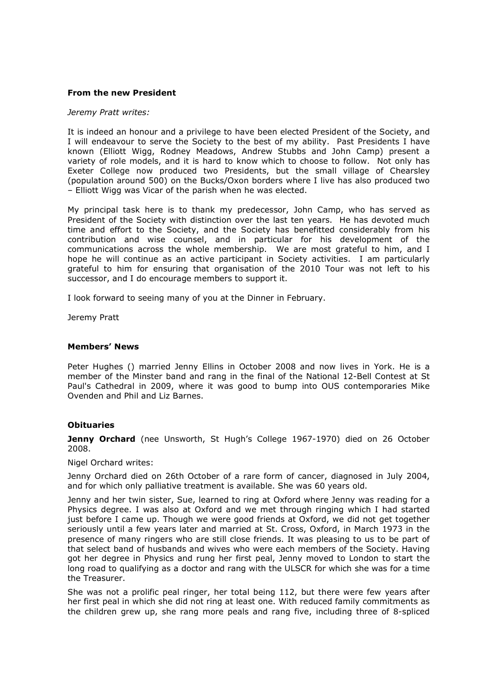# From the new President

#### Jeremy Pratt writes:

It is indeed an honour and a privilege to have been elected President of the Society, and I will endeavour to serve the Society to the best of my ability. Past Presidents I have known (Elliott Wigg, Rodney Meadows, Andrew Stubbs and John Camp) present a variety of role models, and it is hard to know which to choose to follow. Not only has Exeter College now produced two Presidents, but the small village of Chearsley (population around 500) on the Bucks/Oxon borders where I live has also produced two – Elliott Wigg was Vicar of the parish when he was elected.

My principal task here is to thank my predecessor, John Camp, who has served as President of the Society with distinction over the last ten years. He has devoted much time and effort to the Society, and the Society has benefitted considerably from his contribution and wise counsel, and in particular for his development of the communications across the whole membership. We are most grateful to him, and I hope he will continue as an active participant in Society activities. I am particularly grateful to him for ensuring that organisation of the 2010 Tour was not left to his successor, and I do encourage members to support it.

I look forward to seeing many of you at the Dinner in February.

Jeremy Pratt

# Members' News

Peter Hughes () married Jenny Ellins in October 2008 and now lives in York. He is a member of the Minster band and rang in the final of the National 12-Bell Contest at St Paul's Cathedral in 2009, where it was good to bump into OUS contemporaries Mike Ovenden and Phil and Liz Barnes.

# **Obituaries**

Jenny Orchard (nee Unsworth, St Hugh's College 1967-1970) died on 26 October 2008.

Nigel Orchard writes:

Jenny Orchard died on 26th October of a rare form of cancer, diagnosed in July 2004, and for which only palliative treatment is available. She was 60 years old.

Jenny and her twin sister, Sue, learned to ring at Oxford where Jenny was reading for a Physics degree. I was also at Oxford and we met through ringing which I had started just before I came up. Though we were good friends at Oxford, we did not get together seriously until a few years later and married at St. Cross, Oxford, in March 1973 in the presence of many ringers who are still close friends. It was pleasing to us to be part of that select band of husbands and wives who were each members of the Society. Having got her degree in Physics and rung her first peal, Jenny moved to London to start the long road to qualifying as a doctor and rang with the ULSCR for which she was for a time the Treasurer.

She was not a prolific peal ringer, her total being 112, but there were few years after her first peal in which she did not ring at least one. With reduced family commitments as the children grew up, she rang more peals and rang five, including three of 8-spliced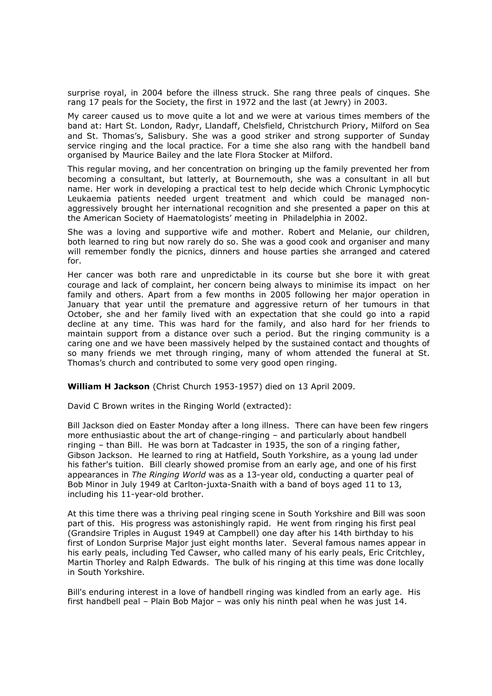surprise royal, in 2004 before the illness struck. She rang three peals of cinques. She rang 17 peals for the Society, the first in 1972 and the last (at Jewry) in 2003.

My career caused us to move quite a lot and we were at various times members of the band at: Hart St. London, Radyr, Llandaff, Chelsfield, Christchurch Priory, Milford on Sea and St. Thomas's, Salisbury. She was a good striker and strong supporter of Sunday service ringing and the local practice. For a time she also rang with the handbell band organised by Maurice Bailey and the late Flora Stocker at Milford.

This regular moving, and her concentration on bringing up the family prevented her from becoming a consultant, but latterly, at Bournemouth, she was a consultant in all but name. Her work in developing a practical test to help decide which Chronic Lymphocytic Leukaemia patients needed urgent treatment and which could be managed nonaggressively brought her international recognition and she presented a paper on this at the American Society of Haematologists' meeting in Philadelphia in 2002.

She was a loving and supportive wife and mother. Robert and Melanie, our children, both learned to ring but now rarely do so. She was a good cook and organiser and many will remember fondly the picnics, dinners and house parties she arranged and catered for.

Her cancer was both rare and unpredictable in its course but she bore it with great courage and lack of complaint, her concern being always to minimise its impact on her family and others. Apart from a few months in 2005 following her major operation in January that year until the premature and aggressive return of her tumours in that October, she and her family lived with an expectation that she could go into a rapid decline at any time. This was hard for the family, and also hard for her friends to maintain support from a distance over such a period. But the ringing community is a caring one and we have been massively helped by the sustained contact and thoughts of so many friends we met through ringing, many of whom attended the funeral at St. Thomas's church and contributed to some very good open ringing.

William H Jackson (Christ Church 1953-1957) died on 13 April 2009.

David C Brown writes in the Ringing World (extracted):

Bill Jackson died on Easter Monday after a long illness. There can have been few ringers more enthusiastic about the art of change-ringing – and particularly about handbell ringing – than Bill. He was born at Tadcaster in 1935, the son of a ringing father, Gibson Jackson. He learned to ring at Hatfield, South Yorkshire, as a young lad under his father's tuition. Bill clearly showed promise from an early age, and one of his first appearances in The Ringing World was as a 13-year old, conducting a quarter peal of Bob Minor in July 1949 at Carlton-juxta-Snaith with a band of boys aged 11 to 13, including his 11-year-old brother.

At this time there was a thriving peal ringing scene in South Yorkshire and Bill was soon part of this. His progress was astonishingly rapid. He went from ringing his first peal (Grandsire Triples in August 1949 at Campbell) one day after his 14th birthday to his first of London Surprise Major just eight months later. Several famous names appear in his early peals, including Ted Cawser, who called many of his early peals, Eric Critchley, Martin Thorley and Ralph Edwards. The bulk of his ringing at this time was done locally in South Yorkshire.

Bill's enduring interest in a love of handbell ringing was kindled from an early age. His first handbell peal – Plain Bob Major – was only his ninth peal when he was just 14.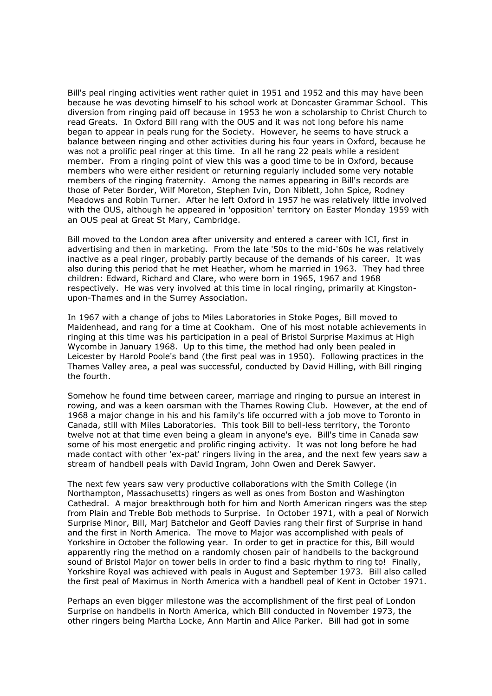Bill's peal ringing activities went rather quiet in 1951 and 1952 and this may have been because he was devoting himself to his school work at Doncaster Grammar School. This diversion from ringing paid off because in 1953 he won a scholarship to Christ Church to read Greats. In Oxford Bill rang with the OUS and it was not long before his name began to appear in peals rung for the Society. However, he seems to have struck a balance between ringing and other activities during his four years in Oxford, because he was not a prolific peal ringer at this time. In all he rang 22 peals while a resident member. From a ringing point of view this was a good time to be in Oxford, because members who were either resident or returning regularly included some very notable members of the ringing fraternity. Among the names appearing in Bill's records are those of Peter Border, Wilf Moreton, Stephen Ivin, Don Niblett, John Spice, Rodney Meadows and Robin Turner. After he left Oxford in 1957 he was relatively little involved with the OUS, although he appeared in 'opposition' territory on Easter Monday 1959 with an OUS peal at Great St Mary, Cambridge.

Bill moved to the London area after university and entered a career with ICI, first in advertising and then in marketing. From the late '50s to the mid-'60s he was relatively inactive as a peal ringer, probably partly because of the demands of his career. It was also during this period that he met Heather, whom he married in 1963. They had three children: Edward, Richard and Clare, who were born in 1965, 1967 and 1968 respectively. He was very involved at this time in local ringing, primarily at Kingstonupon-Thames and in the Surrey Association.

In 1967 with a change of jobs to Miles Laboratories in Stoke Poges, Bill moved to Maidenhead, and rang for a time at Cookham. One of his most notable achievements in ringing at this time was his participation in a peal of Bristol Surprise Maximus at High Wycombe in January 1968. Up to this time, the method had only been pealed in Leicester by Harold Poole's band (the first peal was in 1950). Following practices in the Thames Valley area, a peal was successful, conducted by David Hilling, with Bill ringing the fourth.

Somehow he found time between career, marriage and ringing to pursue an interest in rowing, and was a keen oarsman with the Thames Rowing Club. However, at the end of 1968 a major change in his and his family's life occurred with a job move to Toronto in Canada, still with Miles Laboratories. This took Bill to bell-less territory, the Toronto twelve not at that time even being a gleam in anyone's eye. Bill's time in Canada saw some of his most energetic and prolific ringing activity. It was not long before he had made contact with other 'ex-pat' ringers living in the area, and the next few years saw a stream of handbell peals with David Ingram, John Owen and Derek Sawyer.

The next few years saw very productive collaborations with the Smith College (in Northampton, Massachusetts) ringers as well as ones from Boston and Washington Cathedral. A major breakthrough both for him and North American ringers was the step from Plain and Treble Bob methods to Surprise. In October 1971, with a peal of Norwich Surprise Minor, Bill, Marj Batchelor and Geoff Davies rang their first of Surprise in hand and the first in North America. The move to Major was accomplished with peals of Yorkshire in October the following year. In order to get in practice for this, Bill would apparently ring the method on a randomly chosen pair of handbells to the background sound of Bristol Major on tower bells in order to find a basic rhythm to ring to! Finally, Yorkshire Royal was achieved with peals in August and September 1973. Bill also called the first peal of Maximus in North America with a handbell peal of Kent in October 1971.

Perhaps an even bigger milestone was the accomplishment of the first peal of London Surprise on handbells in North America, which Bill conducted in November 1973, the other ringers being Martha Locke, Ann Martin and Alice Parker. Bill had got in some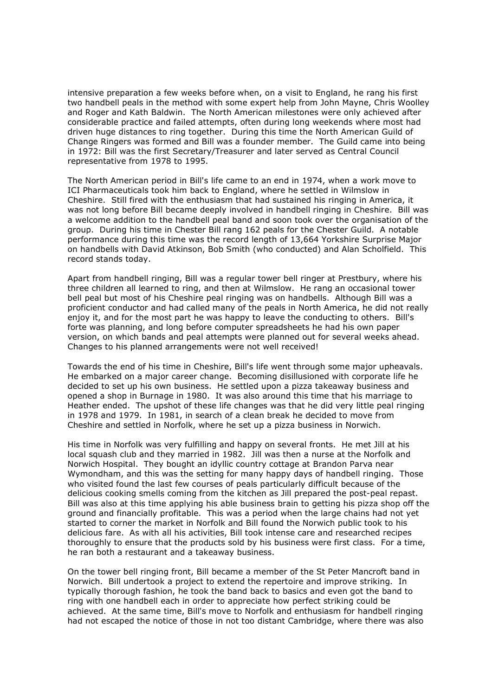intensive preparation a few weeks before when, on a visit to England, he rang his first two handbell peals in the method with some expert help from John Mayne, Chris Woolley and Roger and Kath Baldwin. The North American milestones were only achieved after considerable practice and failed attempts, often during long weekends where most had driven huge distances to ring together. During this time the North American Guild of Change Ringers was formed and Bill was a founder member. The Guild came into being in 1972: Bill was the first Secretary/Treasurer and later served as Central Council representative from 1978 to 1995.

The North American period in Bill's life came to an end in 1974, when a work move to ICI Pharmaceuticals took him back to England, where he settled in Wilmslow in Cheshire. Still fired with the enthusiasm that had sustained his ringing in America, it was not long before Bill became deeply involved in handbell ringing in Cheshire. Bill was a welcome addition to the handbell peal band and soon took over the organisation of the group. During his time in Chester Bill rang 162 peals for the Chester Guild. A notable performance during this time was the record length of 13,664 Yorkshire Surprise Major on handbells with David Atkinson, Bob Smith (who conducted) and Alan Scholfield. This record stands today.

Apart from handbell ringing, Bill was a regular tower bell ringer at Prestbury, where his three children all learned to ring, and then at Wilmslow. He rang an occasional tower bell peal but most of his Cheshire peal ringing was on handbells. Although Bill was a proficient conductor and had called many of the peals in North America, he did not really enjoy it, and for the most part he was happy to leave the conducting to others. Bill's forte was planning, and long before computer spreadsheets he had his own paper version, on which bands and peal attempts were planned out for several weeks ahead. Changes to his planned arrangements were not well received!

Towards the end of his time in Cheshire, Bill's life went through some major upheavals. He embarked on a major career change. Becoming disillusioned with corporate life he decided to set up his own business. He settled upon a pizza takeaway business and opened a shop in Burnage in 1980. It was also around this time that his marriage to Heather ended. The upshot of these life changes was that he did very little peal ringing in 1978 and 1979. In 1981, in search of a clean break he decided to move from Cheshire and settled in Norfolk, where he set up a pizza business in Norwich.

His time in Norfolk was very fulfilling and happy on several fronts. He met Jill at his local squash club and they married in 1982. Jill was then a nurse at the Norfolk and Norwich Hospital. They bought an idyllic country cottage at Brandon Parva near Wymondham, and this was the setting for many happy days of handbell ringing. Those who visited found the last few courses of peals particularly difficult because of the delicious cooking smells coming from the kitchen as Jill prepared the post-peal repast. Bill was also at this time applying his able business brain to getting his pizza shop off the ground and financially profitable. This was a period when the large chains had not yet started to corner the market in Norfolk and Bill found the Norwich public took to his delicious fare. As with all his activities, Bill took intense care and researched recipes thoroughly to ensure that the products sold by his business were first class. For a time, he ran both a restaurant and a takeaway business.

On the tower bell ringing front, Bill became a member of the St Peter Mancroft band in Norwich. Bill undertook a project to extend the repertoire and improve striking. In typically thorough fashion, he took the band back to basics and even got the band to ring with one handbell each in order to appreciate how perfect striking could be achieved. At the same time, Bill's move to Norfolk and enthusiasm for handbell ringing had not escaped the notice of those in not too distant Cambridge, where there was also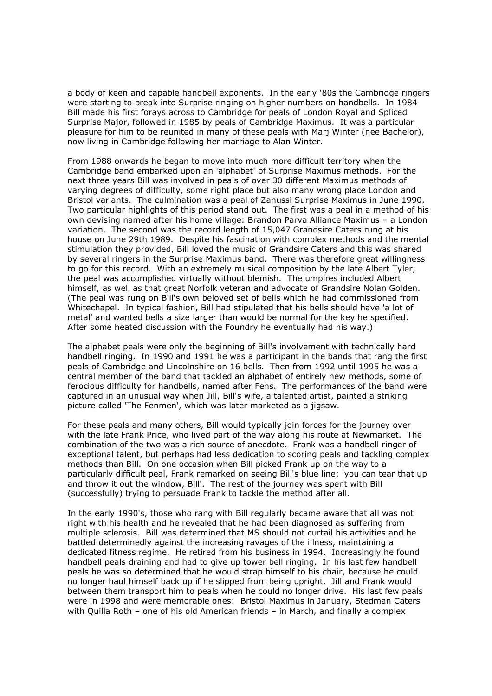a body of keen and capable handbell exponents. In the early '80s the Cambridge ringers were starting to break into Surprise ringing on higher numbers on handbells. In 1984 Bill made his first forays across to Cambridge for peals of London Royal and Spliced Surprise Major, followed in 1985 by peals of Cambridge Maximus. It was a particular pleasure for him to be reunited in many of these peals with Marj Winter (nee Bachelor), now living in Cambridge following her marriage to Alan Winter.

From 1988 onwards he began to move into much more difficult territory when the Cambridge band embarked upon an 'alphabet' of Surprise Maximus methods. For the next three years Bill was involved in peals of over 30 different Maximus methods of varying degrees of difficulty, some right place but also many wrong place London and Bristol variants. The culmination was a peal of Zanussi Surprise Maximus in June 1990. Two particular highlights of this period stand out. The first was a peal in a method of his own devising named after his home village: Brandon Parva Alliance Maximus – a London variation. The second was the record length of 15,047 Grandsire Caters rung at his house on June 29th 1989. Despite his fascination with complex methods and the mental stimulation they provided, Bill loved the music of Grandsire Caters and this was shared by several ringers in the Surprise Maximus band. There was therefore great willingness to go for this record. With an extremely musical composition by the late Albert Tyler, the peal was accomplished virtually without blemish. The umpires included Albert himself, as well as that great Norfolk veteran and advocate of Grandsire Nolan Golden. (The peal was rung on Bill's own beloved set of bells which he had commissioned from Whitechapel. In typical fashion, Bill had stipulated that his bells should have 'a lot of metal' and wanted bells a size larger than would be normal for the key he specified. After some heated discussion with the Foundry he eventually had his way.)

The alphabet peals were only the beginning of Bill's involvement with technically hard handbell ringing. In 1990 and 1991 he was a participant in the bands that rang the first peals of Cambridge and Lincolnshire on 16 bells. Then from 1992 until 1995 he was a central member of the band that tackled an alphabet of entirely new methods, some of ferocious difficulty for handbells, named after Fens. The performances of the band were captured in an unusual way when Jill, Bill's wife, a talented artist, painted a striking picture called 'The Fenmen', which was later marketed as a jigsaw.

For these peals and many others, Bill would typically join forces for the journey over with the late Frank Price, who lived part of the way along his route at Newmarket. The combination of the two was a rich source of anecdote. Frank was a handbell ringer of exceptional talent, but perhaps had less dedication to scoring peals and tackling complex methods than Bill. On one occasion when Bill picked Frank up on the way to a particularly difficult peal, Frank remarked on seeing Bill's blue line: 'you can tear that up and throw it out the window, Bill'. The rest of the journey was spent with Bill (successfully) trying to persuade Frank to tackle the method after all.

In the early 1990's, those who rang with Bill regularly became aware that all was not right with his health and he revealed that he had been diagnosed as suffering from multiple sclerosis. Bill was determined that MS should not curtail his activities and he battled determinedly against the increasing ravages of the illness, maintaining a dedicated fitness regime. He retired from his business in 1994. Increasingly he found handbell peals draining and had to give up tower bell ringing. In his last few handbell peals he was so determined that he would strap himself to his chair, because he could no longer haul himself back up if he slipped from being upright. Jill and Frank would between them transport him to peals when he could no longer drive. His last few peals were in 1998 and were memorable ones: Bristol Maximus in January, Stedman Caters with Quilla Roth – one of his old American friends – in March, and finally a complex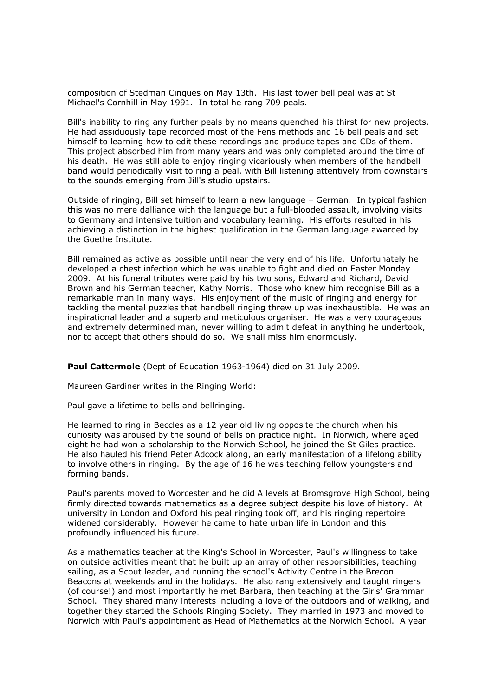composition of Stedman Cinques on May 13th. His last tower bell peal was at St Michael's Cornhill in May 1991. In total he rang 709 peals.

Bill's inability to ring any further peals by no means quenched his thirst for new projects. He had assiduously tape recorded most of the Fens methods and 16 bell peals and set himself to learning how to edit these recordings and produce tapes and CDs of them. This project absorbed him from many years and was only completed around the time of his death. He was still able to enjoy ringing vicariously when members of the handbell band would periodically visit to ring a peal, with Bill listening attentively from downstairs to the sounds emerging from Jill's studio upstairs.

Outside of ringing, Bill set himself to learn a new language – German. In typical fashion this was no mere dalliance with the language but a full-blooded assault, involving visits to Germany and intensive tuition and vocabulary learning. His efforts resulted in his achieving a distinction in the highest qualification in the German language awarded by the Goethe Institute.

Bill remained as active as possible until near the very end of his life. Unfortunately he developed a chest infection which he was unable to fight and died on Easter Monday 2009. At his funeral tributes were paid by his two sons, Edward and Richard, David Brown and his German teacher, Kathy Norris. Those who knew him recognise Bill as a remarkable man in many ways. His enjoyment of the music of ringing and energy for tackling the mental puzzles that handbell ringing threw up was inexhaustible. He was an inspirational leader and a superb and meticulous organiser. He was a very courageous and extremely determined man, never willing to admit defeat in anything he undertook, nor to accept that others should do so. We shall miss him enormously.

Paul Cattermole (Dept of Education 1963-1964) died on 31 July 2009.

Maureen Gardiner writes in the Ringing World:

Paul gave a lifetime to bells and bellringing.

He learned to ring in Beccles as a 12 year old living opposite the church when his curiosity was aroused by the sound of bells on practice night. In Norwich, where aged eight he had won a scholarship to the Norwich School, he joined the St Giles practice. He also hauled his friend Peter Adcock along, an early manifestation of a lifelong ability to involve others in ringing. By the age of 16 he was teaching fellow youngsters and forming bands.

Paul's parents moved to Worcester and he did A levels at Bromsgrove High School, being firmly directed towards mathematics as a degree subject despite his love of history. At university in London and Oxford his peal ringing took off, and his ringing repertoire widened considerably. However he came to hate urban life in London and this profoundly influenced his future.

As a mathematics teacher at the King's School in Worcester, Paul's willingness to take on outside activities meant that he built up an array of other responsibilities, teaching sailing, as a Scout leader, and running the school's Activity Centre in the Brecon Beacons at weekends and in the holidays. He also rang extensively and taught ringers (of course!) and most importantly he met Barbara, then teaching at the Girls' Grammar School. They shared many interests including a love of the outdoors and of walking, and together they started the Schools Ringing Society. They married in 1973 and moved to Norwich with Paul's appointment as Head of Mathematics at the Norwich School. A year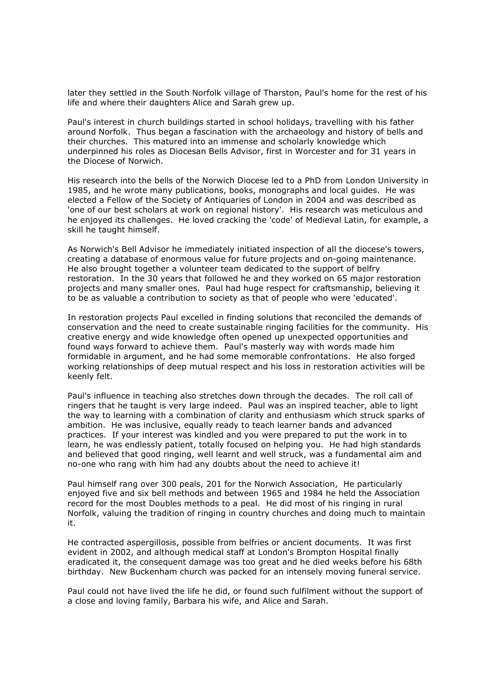later they settled in the South Norfolk village of Tharston, Paul's home for the rest of his life and where their daughters Alice and Sarah grew up.

Paul's interest in church buildings started in school holidays, travelling with his father around Norfolk. Thus began a fascination with the archaeology and history of bells and their churches. This matured into an immense and scholarly knowledge which underpinned his roles as Diocesan Bells Advisor, first in Worcester and for 31 years in the Diocese of Norwich.

His research into the bells of the Norwich Diocese led to a PhD from London University in 1985, and he wrote many publications, books, monographs and local guides. He was elected a Fellow of the Society of Antiquaries of London in 2004 and was described as 'one of our best scholars at work on regional history'. His research was meticulous and he enjoyed its challenges. He loved cracking the 'code' of Medieval Latin, for example, a skill he taught himself.

As Norwich's Bell Advisor he immediately initiated inspection of all the diocese's towers, creating a database of enormous value for future projects and on-going maintenance. He also brought together a volunteer team dedicated to the support of belfry restoration. In the 30 years that followed he and they worked on 65 major restoration projects and many smaller ones. Paul had huge respect for craftsmanship, believing it to be as valuable a contribution to society as that of people who were 'educated'.

In restoration projects Paul excelled in finding solutions that reconciled the demands of conservation and the need to create sustainable ringing facilities for the community. His creative energy and wide knowledge often opened up unexpected opportunities and found ways forward to achieve them. Paul's masterly way with words made him formidable in argument, and he had some memorable confrontations. He also forged working relationships of deep mutual respect and his loss in restoration activities will be keenly felt.

Paul's influence in teaching also stretches down through the decades. The roll call of ringers that he taught is very large indeed. Paul was an inspired teacher, able to light the way to learning with a combination of clarity and enthusiasm which struck sparks of ambition. He was inclusive, equally ready to teach learner bands and advanced practices. If your interest was kindled and you were prepared to put the work in to learn, he was endlessly patient, totally focused on helping you. He had high standards and believed that good ringing, well learnt and well struck, was a fundamental aim and no-one who rang with him had any doubts about the need to achieve it!

Paul himself rang over 300 peals, 201 for the Norwich Association, He particularly enjoyed five and six bell methods and between 1965 and 1984 he held the Association record for the most Doubles methods to a peal. He did most of his ringing in rural Norfolk, valuing the tradition of ringing in country churches and doing much to maintain it.

He contracted aspergillosis, possible from belfries or ancient documents. It was first evident in 2002, and although medical staff at London's Brompton Hospital finally eradicated it, the consequent damage was too great and he died weeks before his 68th birthday. New Buckenham church was packed for an intensely moving funeral service.

Paul could not have lived the life he did, or found such fulfilment without the support of a close and loving family, Barbara his wife, and Alice and Sarah.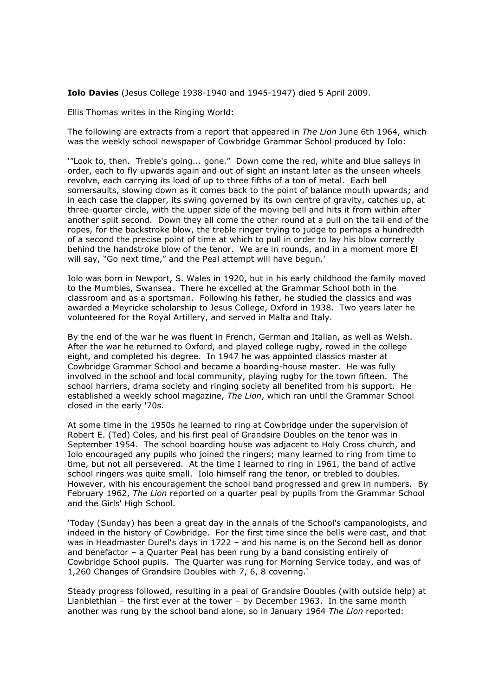Iolo Davies (Jesus College 1938-1940 and 1945-1947) died 5 April 2009.

Ellis Thomas writes in the Ringing World:

The following are extracts from a report that appeared in The Lion June 6th 1964, which was the weekly school newspaper of Cowbridge Grammar School produced by Iolo:

'"Look to, then. Treble's going... gone." Down come the red, white and blue salleys in order, each to fly upwards again and out of sight an instant later as the unseen wheels revolve, each carrying its load of up to three fifths of a ton of metal. Each bell somersaults, slowing down as it comes back to the point of balance mouth upwards; and in each case the clapper, its swing governed by its own centre of gravity, catches up, at three-quarter circle, with the upper side of the moving bell and hits it from within after another split second. Down they all come the other round at a pull on the tail end of the ropes, for the backstroke blow, the treble ringer trying to judge to perhaps a hundredth of a second the precise point of time at which to pull in order to lay his blow correctly behind the handstroke blow of the tenor. We are in rounds, and in a moment more El will say, "Go next time," and the Peal attempt will have begun.'

Iolo was born in Newport, S. Wales in 1920, but in his early childhood the family moved to the Mumbles, Swansea. There he excelled at the Grammar School both in the classroom and as a sportsman. Following his father, he studied the classics and was awarded a Meyricke scholarship to Jesus College, Oxford in 1938. Two years later he volunteered for the Royal Artillery, and served in Malta and Italy.

By the end of the war he was fluent in French, German and Italian, as well as Welsh. After the war he returned to Oxford, and played college rugby, rowed in the college eight, and completed his degree. In 1947 he was appointed classics master at Cowbridge Grammar School and became a boarding-house master. He was fully involved in the school and local community, playing rugby for the town fifteen. The school harriers, drama society and ringing society all benefited from his support. He established a weekly school magazine, The Lion, which ran until the Grammar School closed in the early '70s.

At some time in the 1950s he learned to ring at Cowbridge under the supervision of Robert E. (Ted) Coles, and his first peal of Grandsire Doubles on the tenor was in September 1954. The school boarding house was adjacent to Holy Cross church, and Iolo encouraged any pupils who joined the ringers; many learned to ring from time to time, but not all persevered. At the time I learned to ring in 1961, the band of active school ringers was quite small. Iolo himself rang the tenor, or trebled to doubles. However, with his encouragement the school band progressed and grew in numbers. By February 1962, The Lion reported on a quarter peal by pupils from the Grammar School and the Girls' High School.

'Today (Sunday) has been a great day in the annals of the School's campanologists, and indeed in the history of Cowbridge. For the first time since the bells were cast, and that was in Headmaster Durel's days in 1722 – and his name is on the Second bell as donor and benefactor – a Quarter Peal has been rung by a band consisting entirely of Cowbridge School pupils. The Quarter was rung for Morning Service today, and was of 1,260 Changes of Grandsire Doubles with 7, 6, 8 covering.'

Steady progress followed, resulting in a peal of Grandsire Doubles (with outside help) at Llanblethian – the first ever at the tower – by December 1963. In the same month another was rung by the school band alone, so in January 1964 The Lion reported: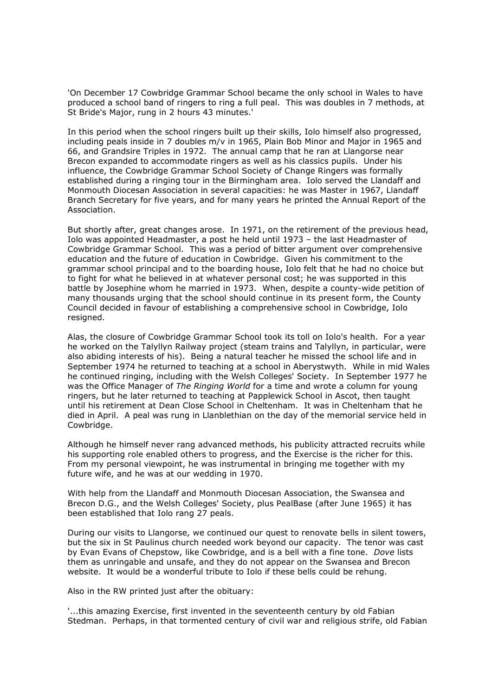'On December 17 Cowbridge Grammar School became the only school in Wales to have produced a school band of ringers to ring a full peal. This was doubles in 7 methods, at St Bride's Major, rung in 2 hours 43 minutes.'

In this period when the school ringers built up their skills, Iolo himself also progressed, including peals inside in 7 doubles m/v in 1965, Plain Bob Minor and Major in 1965 and 66, and Grandsire Triples in 1972. The annual camp that he ran at Llangorse near Brecon expanded to accommodate ringers as well as his classics pupils. Under his influence, the Cowbridge Grammar School Society of Change Ringers was formally established during a ringing tour in the Birmingham area. Iolo served the Llandaff and Monmouth Diocesan Association in several capacities: he was Master in 1967, Llandaff Branch Secretary for five years, and for many years he printed the Annual Report of the Association.

But shortly after, great changes arose. In 1971, on the retirement of the previous head, Iolo was appointed Headmaster, a post he held until 1973 – the last Headmaster of Cowbridge Grammar School. This was a period of bitter argument over comprehensive education and the future of education in Cowbridge. Given his commitment to the grammar school principal and to the boarding house, Iolo felt that he had no choice but to fight for what he believed in at whatever personal cost; he was supported in this battle by Josephine whom he married in 1973. When, despite a county-wide petition of many thousands urging that the school should continue in its present form, the County Council decided in favour of establishing a comprehensive school in Cowbridge, Iolo resigned.

Alas, the closure of Cowbridge Grammar School took its toll on Iolo's health. For a year he worked on the Talyllyn Railway project (steam trains and Talyllyn, in particular, were also abiding interests of his). Being a natural teacher he missed the school life and in September 1974 he returned to teaching at a school in Aberystwyth. While in mid Wales he continued ringing, including with the Welsh Colleges' Society. In September 1977 he was the Office Manager of The Ringing World for a time and wrote a column for young ringers, but he later returned to teaching at Papplewick School in Ascot, then taught until his retirement at Dean Close School in Cheltenham. It was in Cheltenham that he died in April. A peal was rung in Llanblethian on the day of the memorial service held in Cowbridge.

Although he himself never rang advanced methods, his publicity attracted recruits while his supporting role enabled others to progress, and the Exercise is the richer for this. From my personal viewpoint, he was instrumental in bringing me together with my future wife, and he was at our wedding in 1970.

With help from the Llandaff and Monmouth Diocesan Association, the Swansea and Brecon D.G., and the Welsh Colleges' Society, plus PealBase (after June 1965) it has been established that Iolo rang 27 peals.

During our visits to Llangorse, we continued our quest to renovate bells in silent towers, but the six in St Paulinus church needed work beyond our capacity. The tenor was cast by Evan Evans of Chepstow, like Cowbridge, and is a bell with a fine tone. Dove lists them as unringable and unsafe, and they do not appear on the Swansea and Brecon website. It would be a wonderful tribute to Iolo if these bells could be rehung.

Also in the RW printed just after the obituary:

'...this amazing Exercise, first invented in the seventeenth century by old Fabian Stedman. Perhaps, in that tormented century of civil war and religious strife, old Fabian